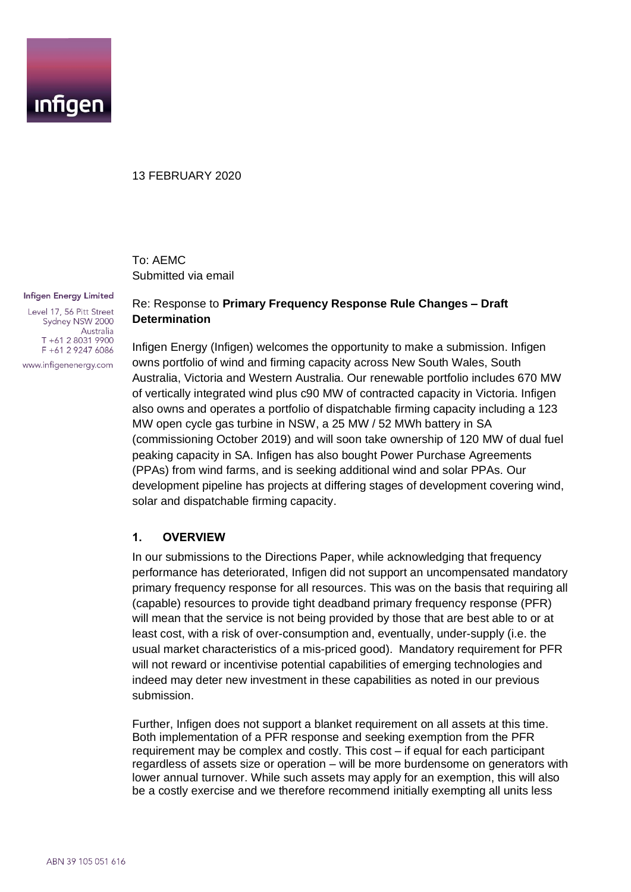

#### 13 FEBRUARY 2020

To: AEMC Submitted via email

#### **Infigen Energy Limited**

Level 17, 56 Pitt Street Sydney NSW 2000 Australia  $T + 61280319900$ F +61 2 9247 6086 www.infigenenergy.com

## Re: Response to **Primary Frequency Response Rule Changes – Draft Determination**

Infigen Energy (Infigen) welcomes the opportunity to make a submission. Infigen owns portfolio of wind and firming capacity across New South Wales, South Australia, Victoria and Western Australia. Our renewable portfolio includes 670 MW of vertically integrated wind plus c90 MW of contracted capacity in Victoria. Infigen also owns and operates a portfolio of dispatchable firming capacity including a 123 MW open cycle gas turbine in NSW, a 25 MW / 52 MWh battery in SA (commissioning October 2019) and will soon take ownership of 120 MW of dual fuel peaking capacity in SA. Infigen has also bought Power Purchase Agreements (PPAs) from wind farms, and is seeking additional wind and solar PPAs. Our development pipeline has projects at differing stages of development covering wind, solar and dispatchable firming capacity.

#### **1. OVERVIEW**

In our submissions to the Directions Paper, while acknowledging that frequency performance has deteriorated, Infigen did not support an uncompensated mandatory primary frequency response for all resources. This was on the basis that requiring all (capable) resources to provide tight deadband primary frequency response (PFR) will mean that the service is not being provided by those that are best able to or at least cost, with a risk of over-consumption and, eventually, under-supply (i.e. the usual market characteristics of a mis-priced good). Mandatory requirement for PFR will not reward or incentivise potential capabilities of emerging technologies and indeed may deter new investment in these capabilities as noted in our previous submission.

Further, Infigen does not support a blanket requirement on all assets at this time. Both implementation of a PFR response and seeking exemption from the PFR requirement may be complex and costly. This cost – if equal for each participant regardless of assets size or operation – will be more burdensome on generators with lower annual turnover. While such assets may apply for an exemption, this will also be a costly exercise and we therefore recommend initially exempting all units less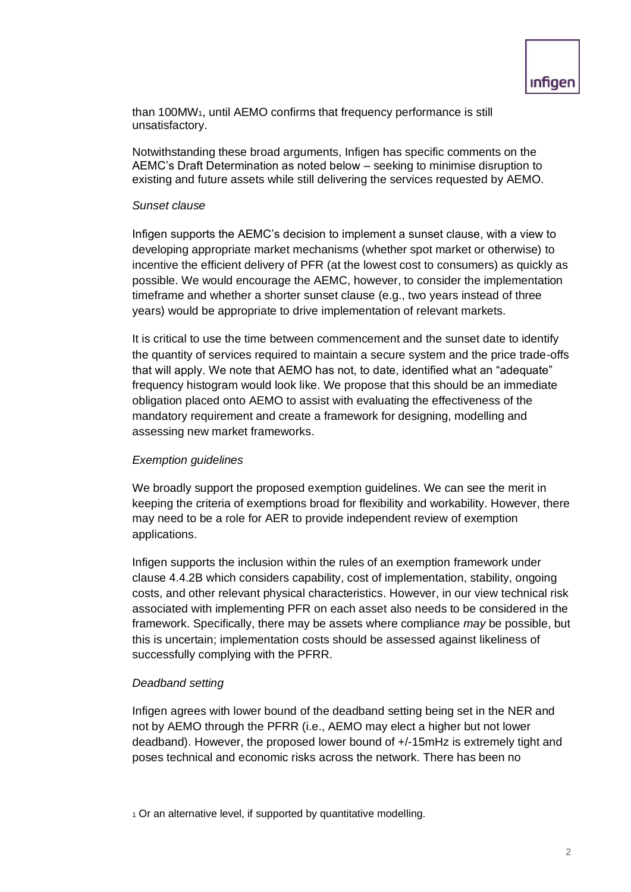than 100MW1, until AEMO confirms that frequency performance is still unsatisfactory.

Notwithstanding these broad arguments, Infigen has specific comments on the AEMC's Draft Determination as noted below – seeking to minimise disruption to existing and future assets while still delivering the services requested by AEMO.

#### *Sunset clause*

Infigen supports the AEMC's decision to implement a sunset clause, with a view to developing appropriate market mechanisms (whether spot market or otherwise) to incentive the efficient delivery of PFR (at the lowest cost to consumers) as quickly as possible. We would encourage the AEMC, however, to consider the implementation timeframe and whether a shorter sunset clause (e.g., two years instead of three years) would be appropriate to drive implementation of relevant markets.

It is critical to use the time between commencement and the sunset date to identify the quantity of services required to maintain a secure system and the price trade-offs that will apply. We note that AEMO has not, to date, identified what an "adequate" frequency histogram would look like. We propose that this should be an immediate obligation placed onto AEMO to assist with evaluating the effectiveness of the mandatory requirement and create a framework for designing, modelling and assessing new market frameworks.

### *Exemption guidelines*

We broadly support the proposed exemption guidelines. We can see the merit in keeping the criteria of exemptions broad for flexibility and workability. However, there may need to be a role for AER to provide independent review of exemption applications.

Infigen supports the inclusion within the rules of an exemption framework under clause 4.4.2B which considers capability, cost of implementation, stability, ongoing costs, and other relevant physical characteristics. However, in our view technical risk associated with implementing PFR on each asset also needs to be considered in the framework. Specifically, there may be assets where compliance *may* be possible, but this is uncertain; implementation costs should be assessed against likeliness of successfully complying with the PFRR.

### *Deadband setting*

Infigen agrees with lower bound of the deadband setting being set in the NER and not by AEMO through the PFRR (i.e., AEMO may elect a higher but not lower deadband). However, the proposed lower bound of +/-15mHz is extremely tight and poses technical and economic risks across the network. There has been no

<sup>1</sup> Or an alternative level, if supported by quantitative modelling.